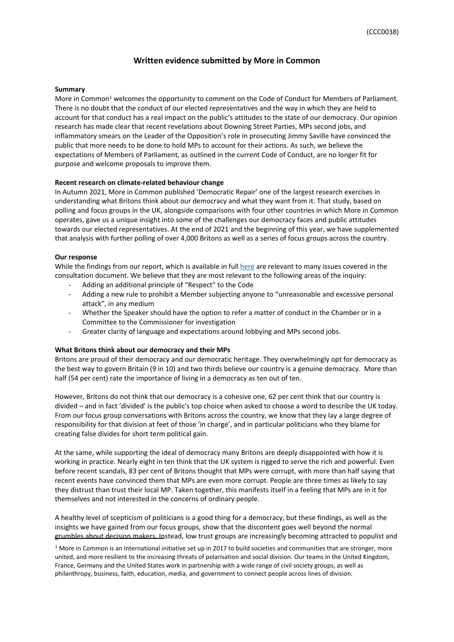# **Written evidence submitted by More in Common**

## **Summary**

More in Common<sup>1</sup> welcomes the opportunity to comment on the Code of Conduct for Members of Parliament. There is no doubt that the conduct of our elected representatives and the way in which they are held to account for that conduct has a real impact on the public's attitudes to the state of our democracy. Our opinion research has made clear that recent revelations about Downing Street Parties, MPs second jobs, and inflammatory smears on the Leader of the Opposition's role in prosecuting Jimmy Saville have convinced the public that more needs to be done to hold MPs to account for their actions. As such, we believe the expectations of Members of Parliament, as outlined in the current Code of Conduct, are no longer fit for purpose and welcome proposals to improve them.

# **Recent research on climate-related behaviour change**

In Autumn 2021, More in Common published 'Democratic Repair' one of the largest research exercises in understanding what Britons think about our democracy and what they want from it. That study, based on polling and focus groups in the UK, alongside comparisons with four other countries in which More in Common operates, gave us a unique insight into some of the challenges our democracy faces and public attitudes towards our elected representatives. At the end of 2021 and the beginning of this year, we have supplemented that analysis with further polling of over 4,000 Britons as well as a series of focus groups across the country.

# **Our response**

While the findings from our report, which is available in full [here](https://www.moreincommon.org.uk/our-work/research/democratic-repair/) are relevant to many issues covered in the consultation document. We believe that they are most relevant to the following areas of the inquiry:

- Adding an additional principle of "Respect" to the Code
- Adding a new rule to prohibit a Member subjecting anyone to "unreasonable and excessive personal attack", in any medium
- Whether the Speaker should have the option to refer a matter of conduct in the Chamber or in a Committee to the Commissioner for investigation
- Greater clarity of language and expectations around lobbying and MPs second jobs.

### **What Britons think about our democracy and their MPs**

Britons are proud of their democracy and our democratic heritage. They overwhelmingly opt for democracy as the best way to govern Britain (9 in 10) and two thirds believe our country is a genuine democracy. More than half (54 per cent) rate the importance of living in a democracy as ten out of ten.

However, Britons do not think that our democracy is a cohesive one, 62 per cent think that our country is divided – and in fact 'divided' is the public's top choice when asked to choose a word to describe the UK today. From our focus group conversations with Britons across the country, we know that they lay a large degree of responsibility for that division at feet of those 'in charge', and in particular politicians who they blame for creating false divides for short term political gain.

At the same, while supporting the ideal of democracy many Britons are deeply disappointed with how it is working in practice. Nearly eight in ten think that the UK system is rigged to serve the rich and powerful. Even before recent scandals, 83 per cent of Britons thought that MPs were corrupt, with more than half saying that recent events have convinced them that MPs are even more corrupt. People are three times as likely to say they distrust than trust their local MP. Taken together, this manifests itself in a feeling that MPs are in it for themselves and not interested in the concerns of ordinary people.

A healthy level of scepticism of politicians is a good thing for a democracy, but these findings, as well as the insights we have gained from our focus groups, show that the discontent goes well beyond the normal grumbles about decision makers. Instead, low trust groups are increasingly becoming attracted to populist and

 $1$  More in Common is an international initiative set up in 2017 to build societies and communities that are stronger, more united, and more resilient to the increasing threats of polarisation and social division. Our teams in the United Kingdom, France, Germany and the United States work in partnership with a wide range of civil society groups, as well as philanthropy, business, faith, education, media, and government to connect people across lines of division.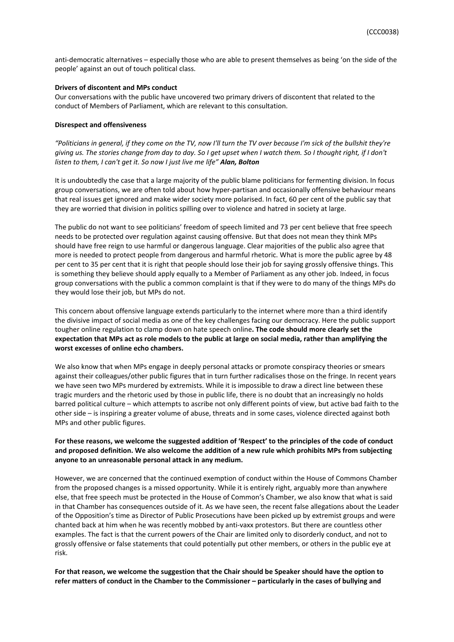anti-democratic alternatives – especially those who are able to present themselves as being 'on the side of the people' against an out of touch political class.

## **Drivers of discontent and MPs conduct**

Our conversations with the public have uncovered two primary drivers of discontent that related to the conduct of Members of Parliament, which are relevant to this consultation.

#### **Disrespect and offensiveness**

"Politicians in general, if they come on the TV, now I'll turn the TV over because I'm sick of the bullshit they're giving us. The stories change from day to day. So I get upset when I watch them. So I thought right, if I don't *listen to them, I can't get it. So now I just live me life" Alan, Bolton*

It is undoubtedly the case that a large majority of the public blame politicians for fermenting division. In focus group conversations, we are often told about how hyper-partisan and occasionally offensive behaviour means that real issues get ignored and make wider society more polarised. In fact, 60 per cent of the public say that they are worried that division in politics spilling over to violence and hatred in society at large.

The public do not want to see politicians' freedom of speech limited and 73 per cent believe that free speech needs to be protected over regulation against causing offensive. But that does not mean they think MPs should have free reign to use harmful or dangerous language. Clear majorities of the public also agree that more is needed to protect people from dangerous and harmful rhetoric. What is more the public agree by 48 per cent to 35 per cent that it is right that people should lose their job for saying grossly offensive things. This is something they believe should apply equally to a Member of Parliament as any other job. Indeed, in focus group conversations with the public a common complaint is that if they were to do many of the things MPs do they would lose their job, but MPs do not.

This concern about offensive language extends particularly to the internet where more than a third identify the divisive impact of social media as one of the key challenges facing our democracy. Here the public support tougher online regulation to clamp down on hate speech online**. The code should more clearly set the** expectation that MPs act as role models to the public at large on social media, rather than amplifying the **worst excesses of online echo chambers.**

We also know that when MPs engage in deeply personal attacks or promote conspiracy theories or smears against their colleagues/other public figures that in turn further radicalises those on the fringe. In recent years we have seen two MPs murdered by extremists. While it is impossible to draw a direct line between these tragic murders and the rhetoric used by those in public life, there is no doubt that an increasingly no holds barred political culture – which attempts to ascribe not only different points of view, but active bad faith to the other side – is inspiring a greater volume of abuse, threats and in some cases, violence directed against both MPs and other public figures.

# For these reasons, we welcome the suggested addition of 'Respect' to the principles of the code of conduct **and proposed definition. We also welcome the addition of a new rule which prohibits MPs from subjecting anyone to an unreasonable personal attack in any medium.**

However, we are concerned that the continued exemption of conduct within the House of Commons Chamber from the proposed changes is a missed opportunity. While it is entirely right, arguably more than anywhere else, that free speech must be protected in the House of Common's Chamber, we also know that what is said in that Chamber has consequences outside of it. As we have seen, the recent false allegations about the Leader of the Opposition's time as Director of Public Prosecutions have been picked up by extremist groups and were chanted back at him when he was recently mobbed by anti-vaxx protestors. But there are countless other examples. The fact is that the current powers of the Chair are limited only to disorderly conduct, and not to grossly offensive or false statements that could potentially put other members, or others in the public eye at risk.

For that reason, we welcome the suggestion that the Chair should be Speaker should have the option to refer matters of conduct in the Chamber to the Commissioner - particularly in the cases of bullying and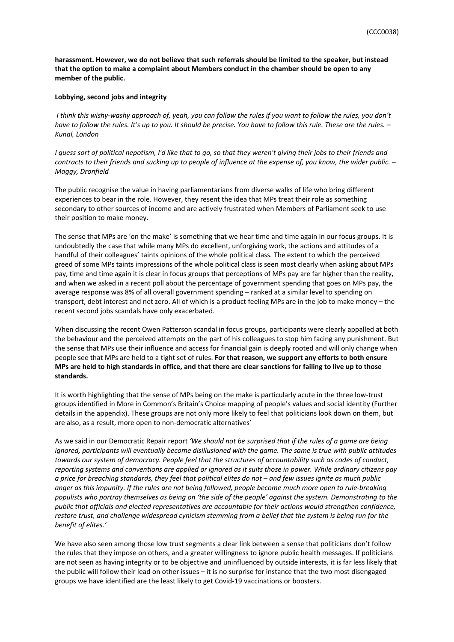**harassment. However, we do not believe that such referrals should be limited to the speaker, but instead that the option to make a complaint about Members conduct in the chamber should be open to any member of the public.**

### **Lobbying, second jobs and integrity**

I think this wishy-washy approach of, yeah, you can follow the rules if you want to follow the rules, you don't have to follow the rules. It's up to you. It should be precise. You have to follow this rule. These are the rules. -*Kunal, London*

I guess sort of political nepotism, I'd like that to go, so that they weren't giving their jobs to their friends and contracts to their friends and sucking up to people of influence at the expense of, you know, the wider public. -*Maggy, Dronfield*

The public recognise the value in having parliamentarians from diverse walks of life who bring different experiences to bear in the role. However, they resent the idea that MPs treat their role as something secondary to other sources of income and are actively frustrated when Members of Parliament seek to use their position to make money.

The sense that MPs are 'on the make' is something that we hear time and time again in our focus groups. It is undoubtedly the case that while many MPs do excellent, unforgiving work, the actions and attitudes of a handful of their colleagues' taints opinions of the whole political class. The extent to which the perceived greed of some MPs taints impressions of the whole political class is seen most clearly when asking about MPs pay, time and time again it is clear in focus groups that perceptions of MPs pay are far higher than the reality, and when we asked in a recent poll about the percentage of government spending that goes on MPs pay, the average response was 8% of all overall government spending – ranked at a similar level to spending on transport, debt interest and net zero. All of which is a product feeling MPs are in the job to make money – the recent second jobs scandals have only exacerbated.

When discussing the recent Owen Patterson scandal in focus groups, participants were clearly appalled at both the behaviour and the perceived attempts on the part of his colleagues to stop him facing any punishment. But the sense that MPs use their influence and access for financial gain is deeply rooted and will only change when people see that MPs are held to a tight set of rules. **For that reason, we support any efforts to both ensure** MPs are held to high standards in office, and that there are clear sanctions for failing to live up to those **standards.**

It is worth highlighting that the sense of MPs being on the make is particularly acute in the three low-trust groups identified in More in Common's Britain's Choice mapping of people's values and social identity (Further details in the appendix). These groups are not only more likely to feel that politicians look down on them, but are also, as a result, more open to non-democratic alternatives'

As we said in our Democratic Repair report *'We should not be surprised that if the rules of a game are being ignored, participants will eventually become disillusioned with the game. The same is true with public attitudes* towards our system of democracy. People feel that the structures of accountability such as codes of conduct, reporting systems and conventions are applied or ignored as it suits those in power. While ordinary citizens pay a price for breaching standards, they feel that political elites do not - and few issues ignite as much public anger as this impunity. If the rules are not being followed, people become much more open to rule-breaking populists who portray themselves as being on 'the side of the people' against the system. Demonstrating to the *public that officials and elected representatives are accountable for their actions would strengthen confidence,* restore trust, and challenge widespread cynicism stemming from a belief that the system is being run for the *benefit of elites.'*

We have also seen among those low trust segments a clear link between a sense that politicians don't follow the rules that they impose on others, and a greater willingness to ignore public health messages. If politicians are not seen as having integrity or to be objective and uninfluenced by outside interests, it is far less likely that the public will follow their lead on other issues – it is no surprise for instance that the two most disengaged groups we have identified are the least likely to get Covid-19 vaccinations or boosters.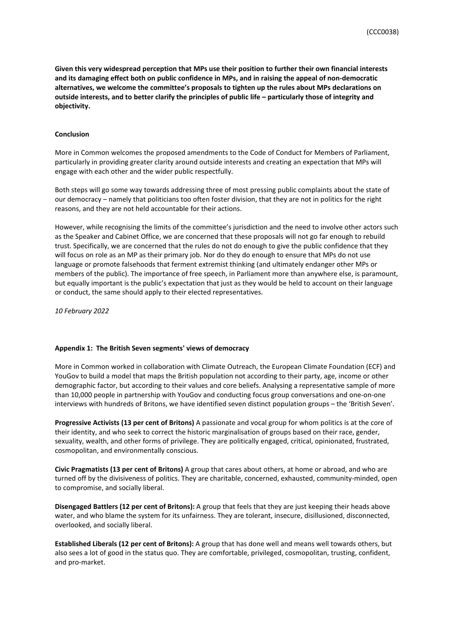**Given this very widespread perception that MPs use their position to further their own financial interests and its damaging effect both on public confidence in MPs, and in raising the appeal of non-democratic alternatives, we welcome the committee's proposals to tighten up the rules about MPs declarations on** outside interests, and to better clarify the principles of public life - particularly those of integrity and **objectivity.**

### **Conclusion**

More in Common welcomes the proposed amendments to the Code of Conduct for Members of Parliament, particularly in providing greater clarity around outside interests and creating an expectation that MPs will engage with each other and the wider public respectfully.

Both steps will go some way towards addressing three of most pressing public complaints about the state of our democracy – namely that politicians too often foster division, that they are not in politics for the right reasons, and they are not held accountable for their actions.

However, while recognising the limits of the committee's jurisdiction and the need to involve other actors such as the Speaker and Cabinet Office, we are concerned that these proposals will not go far enough to rebuild trust. Specifically, we are concerned that the rules do not do enough to give the public confidence that they will focus on role as an MP as their primary job. Nor do they do enough to ensure that MPs do not use language or promote falsehoods that ferment extremist thinking (and ultimately endanger other MPs or members of the public). The importance of free speech, in Parliament more than anywhere else, is paramount, but equally important is the public's expectation that just as they would be held to account on their language or conduct, the same should apply to their elected representatives.

*10 February 2022*

# **Appendix 1: The British Seven segments' views of democracy**

More in Common worked in collaboration with Climate Outreach, the European Climate Foundation (ECF) and YouGov to build a model that maps the British population not according to their party, age, income or other demographic factor, but according to their values and core beliefs. Analysing a representative sample of more than 10,000 people in partnership with YouGov and conducting focus group conversations and one-on-one interviews with hundreds of Britons, we have identified seven distinct population groups – the 'British Seven'.

**Progressive Activists (13 per cent of Britons)** A passionate and vocal group for whom politics is at the core of their identity, and who seek to correct the historic marginalisation of groups based on their race, gender, sexuality, wealth, and other forms of privilege. They are politically engaged, critical, opinionated, frustrated, cosmopolitan, and environmentally conscious.

**Civic Pragmatists (13 per cent of Britons)** A group that cares about others, at home or abroad, and who are turned off by the divisiveness of politics. They are charitable, concerned, exhausted, community-minded, open to compromise, and socially liberal.

**Disengaged Battlers (12 per cent of Britons):** A group that feels that they are just keeping their heads above water, and who blame the system for its unfairness. They are tolerant, insecure, disillusioned, disconnected, overlooked, and socially liberal.

**Established Liberals (12 per cent of Britons):** A group that has done well and means well towards others, but also sees a lot of good in the status quo. They are comfortable, privileged, cosmopolitan, trusting, confident, and pro-market.